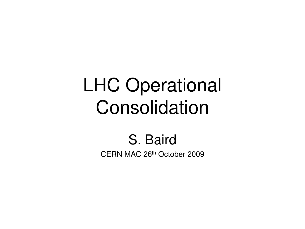#### LHC Operational Consolidation

#### S. Baird CERN MAC 26th October 2009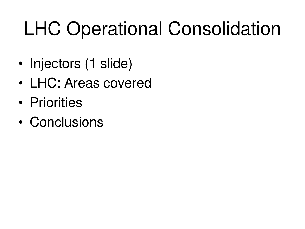#### LHC Operational Consolidation

- Injectors (1 slide)
- LHC: Areas covered
- Priorities
- Conclusions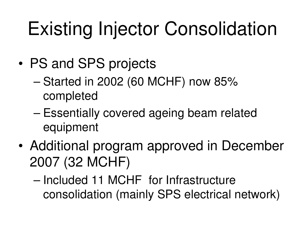# Existing Injector Consolidation

- PS and SPS projects
	- Started in 2002 (60 MCHF) now 85% completed
	- Essentially covered ageing beam related equipment
- Additional program approved in December 2007 (32 MCHF)
	- Included 11 MCHF for Infrastructure consolidation (mainly SPS electrical network)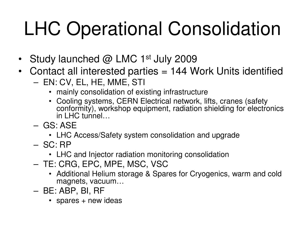## LHC Operational Consolidation

- Study launched  $@$  LMC 1<sup>st</sup> July 2009
- Contact all interested parties = 144 Work Units identified
	- EN: CV, EL, HE, MME, STI
		- mainly consolidation of existing infrastructure
		- Cooling systems, CERN Electrical network, lifts, cranes (safety conformity), workshop equipment, radiation shielding for electronics in LHC tunnel…
	- GS: ASE
		- LHC Access/Safety system consolidation and upgrade
	- SC: RP
		- LHC and Injector radiation monitoring consolidation
	- TE: CRG, EPC, MPE, MSC, VSC
		- Additional Helium storage & Spares for Cryogenics, warm and cold magnets, vacuum…
	- BE: ABP, BI, RF
		- spares + new ideas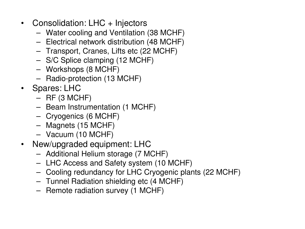- Consolidation: LHC + Injectors
	- Water cooling and Ventilation (38 MCHF)
	- Electrical network distribution (48 MCHF)
	- Transport, Cranes, Lifts etc (22 MCHF)
	- S/C Splice clamping (12 MCHF)
	- Workshops (8 MCHF)
	- Radio-protection (13 MCHF)
- Spares: LHC
	- $-$  RF (3 MCHF)
	- Beam Instrumentation (1 MCHF)
	- Cryogenics (6 MCHF)
	- Magnets (15 MCHF)
	- Vacuum (10 MCHF)
- New/upgraded equipment: LHC
	- Additional Helium storage (7 MCHF)
	- LHC Access and Safety system (10 MCHF)
	- Cooling redundancy for LHC Cryogenic plants (22 MCHF)
	- Tunnel Radiation shielding etc (4 MCHF)
	- Remote radiation survey (1 MCHF)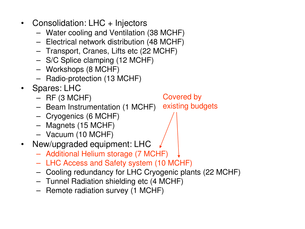- Consolidation: LHC + Injectors
	- Water cooling and Ventilation (38 MCHF)
	- Electrical network distribution (48 MCHF)
	- Transport, Cranes, Lifts etc (22 MCHF)
	- S/C Splice clamping (12 MCHF)
	- Workshops (8 MCHF)
	- Radio-protection (13 MCHF)
- Spares: LHC
	- $-$  RF (3 MCHF)
	- Beam Instrumentation (1 MCHF) existing budgets
	- Cryogenics (6 MCHF)
	- Magnets (15 MCHF)
	- Vacuum (10 MCHF)
- New/upgraded equipment: LHC
	- Additional Helium storage (7 MCHF)
	- LHC Access and Safety system (10 MCHF)
	- Cooling redundancy for LHC Cryogenic plants (22 MCHF)

Covered by

- Tunnel Radiation shielding etc (4 MCHF)
- Remote radiation survey (1 MCHF)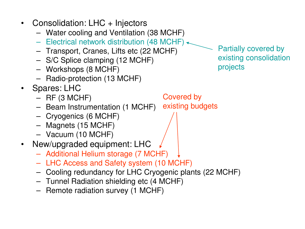• Consolidation: LHC + Injectors – Water cooling and Ventilation (38 MCHF) – Electrical network distribution (48 MCHF)  $\leftarrow$ – Transport, Cranes, Lifts etc (22 MCHF) – S/C Splice clamping (12 MCHF) – Workshops (8 MCHF) – Radio-protection (13 MCHF) • Spares: LHC  $-$  RF (3 MCHF) – Beam Instrumentation (1 MCHF) – Cryogenics (6 MCHF) Covered by existing budgets Partially covered by existing consolidation projects – Magnets (15 MCHF) – Vacuum (10 MCHF) • New/upgraded equipment: LHC – Additional Helium storage (7 MCHF) – LHC Access and Safety system (10 MCHF) – Cooling redundancy for LHC Cryogenic plants (22 MCHF) – Tunnel Radiation shielding etc (4 MCHF) – Remote radiation survey (1 MCHF)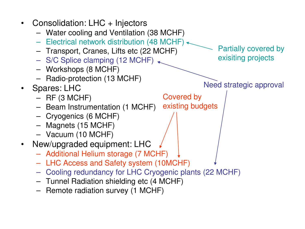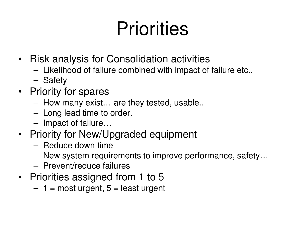#### **Priorities**

- Risk analysis for Consolidation activities
	- Likelihood of failure combined with impact of failure etc..
	- Safety
- Priority for spares
	- How many exist… are they tested, usable..
	- Long lead time to order.
	- Impact of failure…
- Priority for New/Upgraded equipment
	- Reduce down time
	- New system requirements to improve performance, safety…
	- Prevent/reduce failures
- Priorities assigned from 1 to 5
	- $-1$  = most urgent,  $5$  = least urgent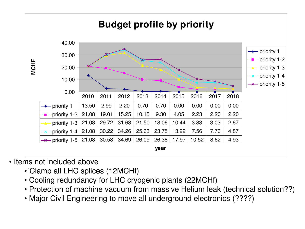

- Items not included above
	- •`Clamp all LHC splices (12MCHf)
	- Cooling redundancy for LHC cryogenic plants (22MCHf)
	- Protection of machine vacuum from massive Helium leak (technical solution??)
	- Major Civil Engineering to move all underground electronics (????)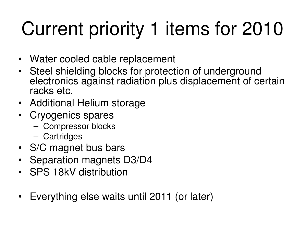# Current priority 1 items for 2010

- Water cooled cable replacement
- Steel shielding blocks for protection of underground electronics against radiation plus displacement of certain racks etc.
- Additional Helium storage
- Cryogenics spares
	- Compressor blocks
	- Cartridges
- S/C magnet bus bars
- Separation magnets D3/D4
- SPS 18kV distribution
- Everything else waits until 2011 (or later)